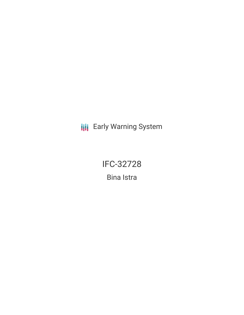**III** Early Warning System

**IFC-32728** 

**Bina Istra**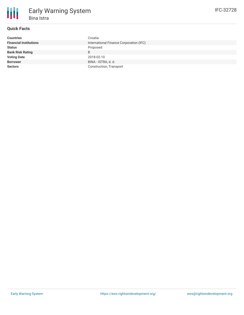

# **Quick Facts**

| <b>Countries</b>              | Croatia                                 |
|-------------------------------|-----------------------------------------|
| <b>Financial Institutions</b> | International Finance Corporation (IFC) |
| <b>Status</b>                 | Proposed                                |
| <b>Bank Risk Rating</b>       | B                                       |
| <b>Voting Date</b>            | 2018-02-10                              |
| <b>Borrower</b>               | BINA - ISTRA, d. d.                     |
| <b>Sectors</b>                | Construction, Transport                 |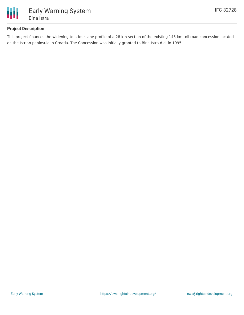

## **Project Description**

This project finances the widening to a four-lane profile of a 28 km section of the existing 145 km toll road concession located on the Istrian peninsula in Croatia. The Concession was initially granted to Bina Istra d.d. in 1995.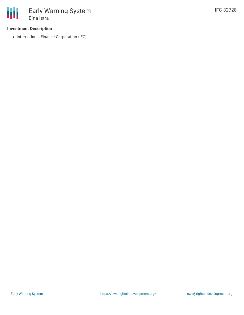### **Investment Description**

• International Finance Corporation (IFC)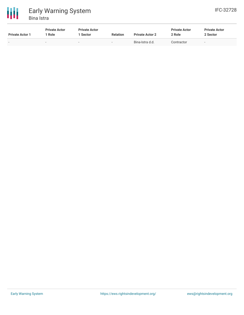

| <b>Private Actor 1</b> | <b>Private Actor</b><br>' Role | <b>Private Actor</b><br>Sector | <b>Relation</b> | <b>Private Actor 2</b> | <b>Private Actor</b><br>2 Role | <b>Private Actor</b><br>2 Sector |
|------------------------|--------------------------------|--------------------------------|-----------------|------------------------|--------------------------------|----------------------------------|
| $\sim$                 | $\overline{\phantom{a}}$       |                                | $\sim$          | Bina-Istra d.d.        | Contractor                     |                                  |